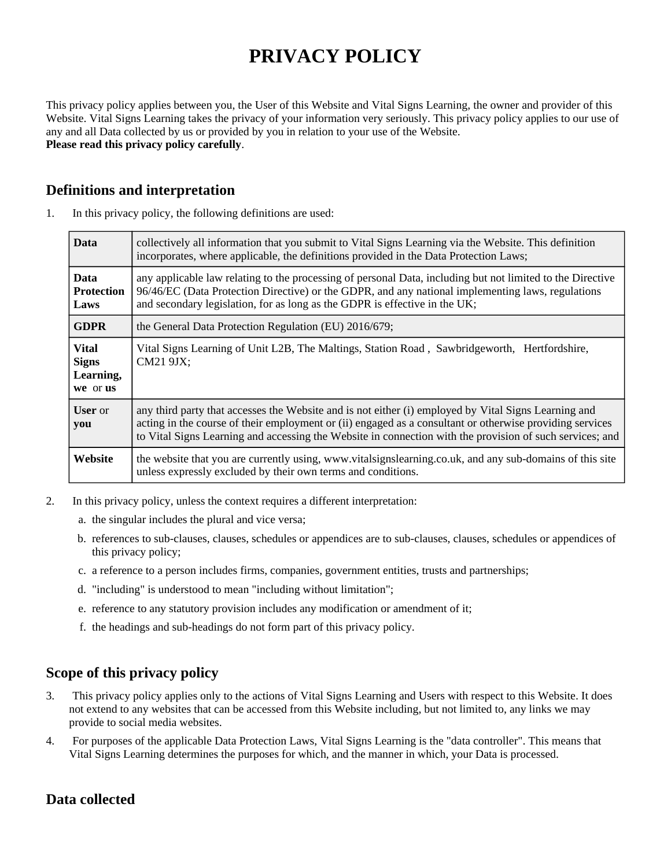# **PRIVACY POLICY**

This privacy policy applies between you, the User of this Website and Vital Signs Learning, the owner and provider of this Website. Vital Signs Learning takes the privacy of your information very seriously. This privacy policy applies to our use of any and all Data collected by us or provided by you in relation to your use of the Website. **Please read this privacy policy carefully**.

# **Definitions and interpretation**

| <b>Data</b>                                           | collectively all information that you submit to Vital Signs Learning via the Website. This definition<br>incorporates, where applicable, the definitions provided in the Data Protection Laws;                                                                                                                               |
|-------------------------------------------------------|------------------------------------------------------------------------------------------------------------------------------------------------------------------------------------------------------------------------------------------------------------------------------------------------------------------------------|
| <b>Data</b><br><b>Protection</b><br>Laws              | any applicable law relating to the processing of personal Data, including but not limited to the Directive<br>96/46/EC (Data Protection Directive) or the GDPR, and any national implementing laws, regulations<br>and secondary legislation, for as long as the GDPR is effective in the UK;                                |
| <b>GDPR</b>                                           | the General Data Protection Regulation (EU) 2016/679;                                                                                                                                                                                                                                                                        |
| <b>Vital</b><br><b>Signs</b><br>Learning,<br>we or us | Vital Signs Learning of Unit L2B, The Maltings, Station Road, Sawbridgeworth, Hertfordshire,<br>CM21 9JX;                                                                                                                                                                                                                    |
| <b>User</b> or<br>you                                 | any third party that accesses the Website and is not either (i) employed by Vital Signs Learning and<br>acting in the course of their employment or (ii) engaged as a consultant or otherwise providing services<br>to Vital Signs Learning and accessing the Website in connection with the provision of such services; and |
| Website                                               | the website that you are currently using, www.vitalsignslearning.co.uk, and any sub-domains of this site<br>unless expressly excluded by their own terms and conditions.                                                                                                                                                     |

1. In this privacy policy, the following definitions are used:

- 2. In this privacy policy, unless the context requires a different interpretation:
	- a. the singular includes the plural and vice versa;
	- b. references to sub-clauses, clauses, schedules or appendices are to sub-clauses, clauses, schedules or appendices of this privacy policy;
	- c. a reference to a person includes firms, companies, government entities, trusts and partnerships;
	- d. "including" is understood to mean "including without limitation";
	- e. reference to any statutory provision includes any modification or amendment of it;
	- f. the headings and sub-headings do not form part of this privacy policy.

# **Scope of this privacy policy**

- 3. This privacy policy applies only to the actions of Vital Signs Learning and Users with respect to this Website. It does not extend to any websites that can be accessed from this Website including, but not limited to, any links we may provide to social media websites.
- 4. For purposes of the applicable Data Protection Laws, Vital Signs Learning is the "data controller". This means that Vital Signs Learning determines the purposes for which, and the manner in which, your Data is processed.

# **Data collected**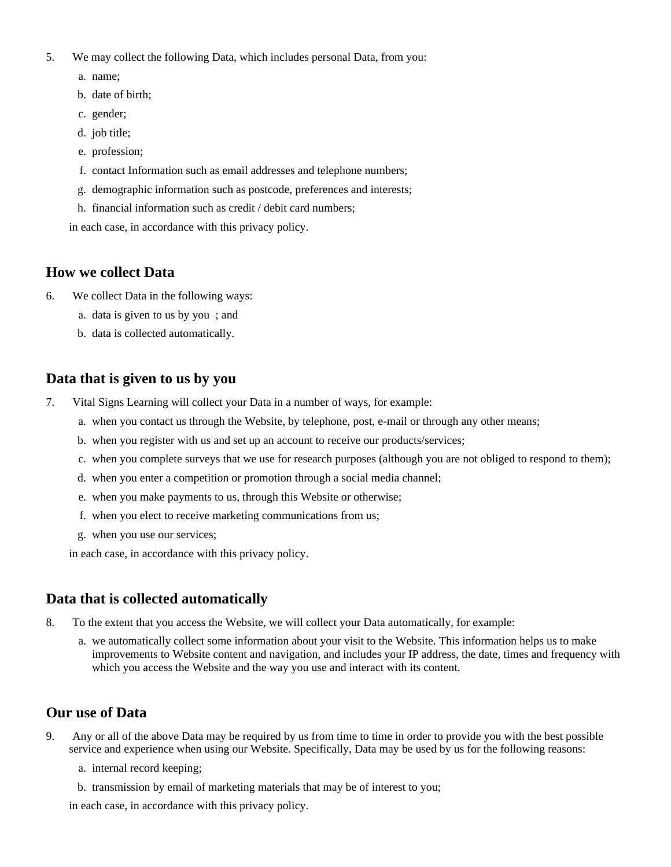- 5. We may collect the following Data, which includes personal Data, from you:
	- a. name;
	- b. date of birth;
	- c. gender;
	- d. job title;
	- e. profession;
	- f. contact Information such as email addresses and telephone numbers;
	- g. demographic information such as postcode, preferences and interests;
	- h. financial information such as credit / debit card numbers;

in each case, in accordance with this privacy policy.

# **How we collect Data**

- 6. We collect Data in the following ways:
	- a. data is given to us by you ; and
	- b. data is collected automatically.

# **Data that is given to us by you**

- 7. Vital Signs Learning will collect your Data in a number of ways, for example:
	- a. when you contact us through the Website, by telephone, post, e-mail or through any other means;
	- b. when you register with us and set up an account to receive our products/services;
	- c. when you complete surveys that we use for research purposes (although you are not obliged to respond to them);
	- d. when you enter a competition or promotion through a social media channel;
	- e. when you make payments to us, through this Website or otherwise;
	- f. when you elect to receive marketing communications from us;
	- g. when you use our services;

in each case, in accordance with this privacy policy.

# **Data that is collected automatically**

- 8. To the extent that you access the Website, we will collect your Data automatically, for example:
	- a. we automatically collect some information about your visit to the Website. This information helps us to make improvements to Website content and navigation, and includes your IP address, the date, times and frequency with which you access the Website and the way you use and interact with its content.

# **Our use of Data**

- 9. Any or all of the above Data may be required by us from time to time in order to provide you with the best possible service and experience when using our Website. Specifically, Data may be used by us for the following reasons:
	- a. internal record keeping;
	- b. transmission by email of marketing materials that may be of interest to you;

in each case, in accordance with this privacy policy.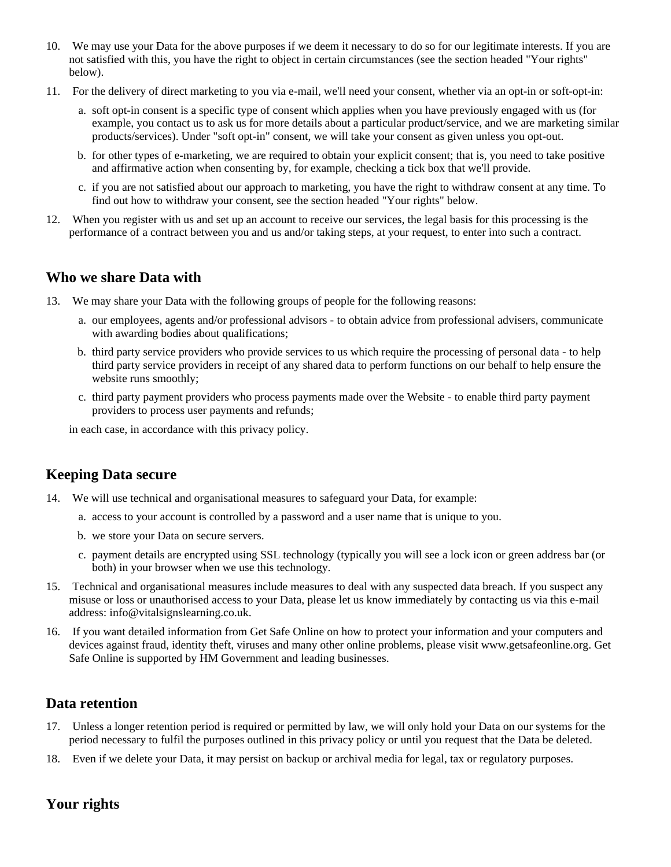- 10. We may use your Data for the above purposes if we deem it necessary to do so for our legitimate interests. If you are not satisfied with this, you have the right to object in certain circumstances (see the section headed "Your rights" below).
- 11. For the delivery of direct marketing to you via e-mail, we'll need your consent, whether via an opt-in or soft-opt-in:
	- a. soft opt-in consent is a specific type of consent which applies when you have previously engaged with us (for example, you contact us to ask us for more details about a particular product/service, and we are marketing similar products/services). Under "soft opt-in" consent, we will take your consent as given unless you opt-out.
	- b. for other types of e-marketing, we are required to obtain your explicit consent; that is, you need to take positive and affirmative action when consenting by, for example, checking a tick box that we'll provide.
	- c. if you are not satisfied about our approach to marketing, you have the right to withdraw consent at any time. To find out how to withdraw your consent, see the section headed "Your rights" below.
- 12. When you register with us and set up an account to receive our services, the legal basis for this processing is the performance of a contract between you and us and/or taking steps, at your request, to enter into such a contract.

# **Who we share Data with**

- 13. We may share your Data with the following groups of people for the following reasons:
	- a. our employees, agents and/or professional advisors to obtain advice from professional advisers, communicate with awarding bodies about qualifications;
	- b. third party service providers who provide services to us which require the processing of personal data to help third party service providers in receipt of any shared data to perform functions on our behalf to help ensure the website runs smoothly;
	- c. third party payment providers who process payments made over the Website to enable third party payment providers to process user payments and refunds;

in each case, in accordance with this privacy policy.

# **Keeping Data secure**

- 14. We will use technical and organisational measures to safeguard your Data, for example:
	- a. access to your account is controlled by a password and a user name that is unique to you.
	- b. we store your Data on secure servers.
	- c. payment details are encrypted using SSL technology (typically you will see a lock icon or green address bar (or both) in your browser when we use this technology.
- 15. Technical and organisational measures include measures to deal with any suspected data breach. If you suspect any misuse or loss or unauthorised access to your Data, please let us know immediately by contacting us via this e-mail address: info@vitalsignslearning.co.uk.
- 16. If you want detailed information from Get Safe Online on how to protect your information and your computers and devices against fraud, identity theft, viruses and many other online problems, please visit www.getsafeonline.org. Get Safe Online is supported by HM Government and leading businesses.

# **Data retention**

- 17. Unless a longer retention period is required or permitted by law, we will only hold your Data on our systems for the period necessary to fulfil the purposes outlined in this privacy policy or until you request that the Data be deleted.
- 18. Even if we delete your Data, it may persist on backup or archival media for legal, tax or regulatory purposes.

# **Your rights**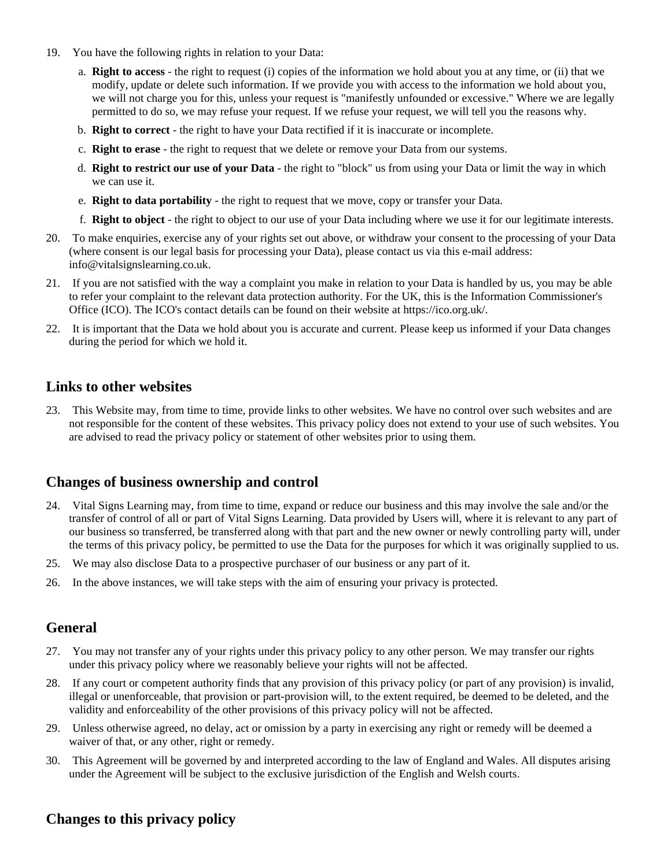- 19. You have the following rights in relation to your Data:
	- a. **Right to access** the right to request (i) copies of the information we hold about you at any time, or (ii) that we modify, update or delete such information. If we provide you with access to the information we hold about you, we will not charge you for this, unless your request is "manifestly unfounded or excessive." Where we are legally permitted to do so, we may refuse your request. If we refuse your request, we will tell you the reasons why.
	- b. **Right to correct** the right to have your Data rectified if it is inaccurate or incomplete.
	- c. **Right to erase** the right to request that we delete or remove your Data from our systems.
	- d. **Right to restrict our use of your Data** the right to "block" us from using your Data or limit the way in which we can use it.
	- e. **Right to data portability** the right to request that we move, copy or transfer your Data.
	- f. **Right to object** the right to object to our use of your Data including where we use it for our legitimate interests.
- 20. To make enquiries, exercise any of your rights set out above, or withdraw your consent to the processing of your Data (where consent is our legal basis for processing your Data), please contact us via this e-mail address: info@vitalsignslearning.co.uk.
- 21. If you are not satisfied with the way a complaint you make in relation to your Data is handled by us, you may be able to refer your complaint to the relevant data protection authority. For the UK, this is the Information Commissioner's Office (ICO). The ICO's contact details can be found on their website at https://ico.org.uk/.
- 22. It is important that the Data we hold about you is accurate and current. Please keep us informed if your Data changes during the period for which we hold it.

#### **Links to other websites**

23. This Website may, from time to time, provide links to other websites. We have no control over such websites and are not responsible for the content of these websites. This privacy policy does not extend to your use of such websites. You are advised to read the privacy policy or statement of other websites prior to using them.

#### **Changes of business ownership and control**

- 24. Vital Signs Learning may, from time to time, expand or reduce our business and this may involve the sale and/or the transfer of control of all or part of Vital Signs Learning. Data provided by Users will, where it is relevant to any part of our business so transferred, be transferred along with that part and the new owner or newly controlling party will, under the terms of this privacy policy, be permitted to use the Data for the purposes for which it was originally supplied to us.
- 25. We may also disclose Data to a prospective purchaser of our business or any part of it.
- 26. In the above instances, we will take steps with the aim of ensuring your privacy is protected.

#### **General**

- 27. You may not transfer any of your rights under this privacy policy to any other person. We may transfer our rights under this privacy policy where we reasonably believe your rights will not be affected.
- 28. If any court or competent authority finds that any provision of this privacy policy (or part of any provision) is invalid, illegal or unenforceable, that provision or part-provision will, to the extent required, be deemed to be deleted, and the validity and enforceability of the other provisions of this privacy policy will not be affected.
- 29. Unless otherwise agreed, no delay, act or omission by a party in exercising any right or remedy will be deemed a waiver of that, or any other, right or remedy.
- 30. This Agreement will be governed by and interpreted according to the law of England and Wales. All disputes arising under the Agreement will be subject to the exclusive jurisdiction of the English and Welsh courts.

# **Changes to this privacy policy**